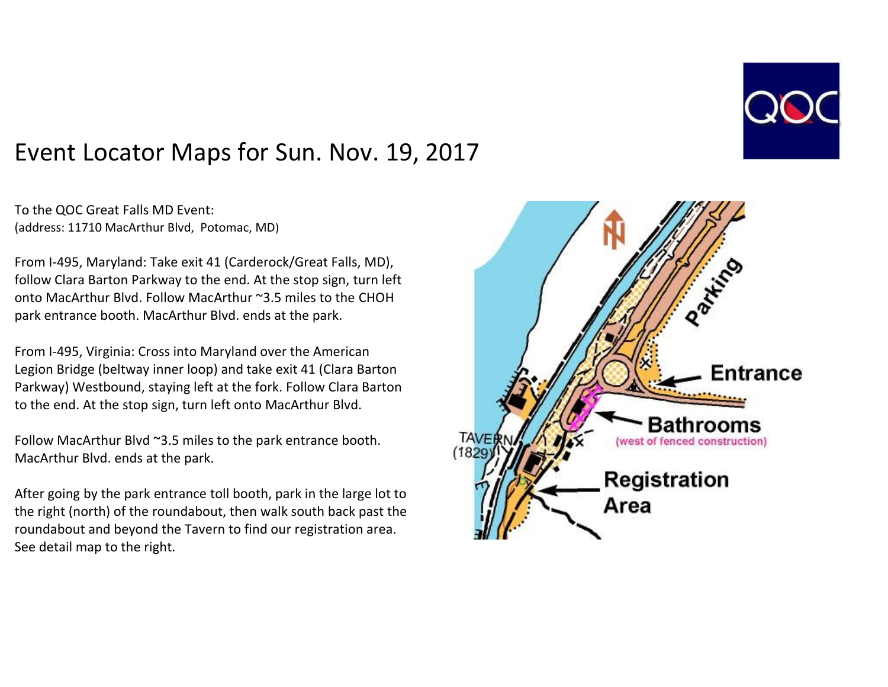

## Event Locator Maps for Sun. Nov. 19, 2017

To the QOC Great Falls MD Event: (address: 11710 MacArthur Blvd, Potomac, MD)

From I-495, Maryland: Take exit 41 (Carderock/Great Falls, MD), follow Clara Barton Parkway to the end. At the stop sign, turn left onto MacArthur Blvd. Follow MacArthur ~3.5 miles to the CHOH park entrance booth. MacArthur Blvd. ends at the park.

From I-495, Virginia: Cross into Maryland over the American Legion Bridge (beltway inner loop) and take exit 41 (Clara Barton Parkway) Westbound, staying left at the fork. Follow Clara Barton to the end. At the stop sign, turn left onto MacArthur Blvd.

Follow MacArthur Blvd ~3.5 miles to the park entrance booth. MacArthur Blvd. ends at the park.

After going by the park entrance toll booth, park in the large lot to the right (north) of the roundabout, then walk south back past the roundabout and beyond the Tavern to find our registration area. See detail map to the right.